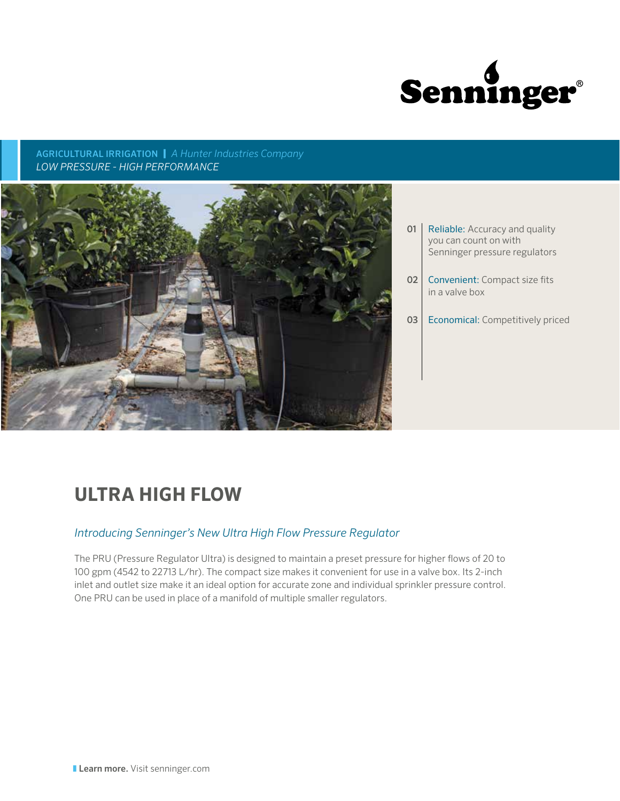

AGRICULTURAL IRRIGATION | *A Hunter Industries Company LOW PRESSURE - HIGH PERFORMANCE*



- **01** Reliable: Accuracy and quality you can count on with Senninger pressure regulators
- **02** Convenient: Compact size fits in a valve box

03 Economical: Competitively priced

## **ULTRA HIGH FLOW**

## *Introducing Senninger's New Ultra High Flow Pressure Regulator*

The PRU (Pressure Regulator Ultra) is designed to maintain a preset pressure for higher flows of 20 to 100 gpm (4542 to 22713 L/hr). The compact size makes it convenient for use in a valve box. Its 2-inch inlet and outlet size make it an ideal option for accurate zone and individual sprinkler pressure control. One PRU can be used in place of a manifold of multiple smaller regulators.